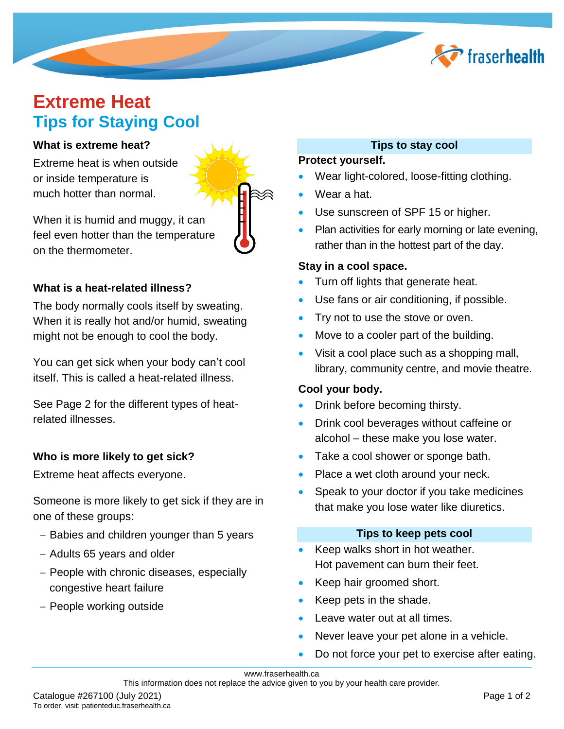

# **Extreme Heat Tips for Staying Cool**

#### **What is extreme heat?**

Extreme heat is when outside or inside temperature is much hotter than normal.

When it is humid and muggy, it can feel even hotter than the temperature on the thermometer.

#### **What is a heat-related illness?**

The body normally cools itself by sweating. When it is really hot and/or humid, sweating might not be enough to cool the body.

You can get sick when your body can't cool itself. This is called a heat-related illness.

See Page 2 for the different types of heatrelated illnesses.

#### **Who is more likely to get sick?**

Extreme heat affects everyone.

Someone is more likely to get sick if they are in one of these groups:

- Babies and children younger than 5 years
- Adults 65 years and older
- People with chronic diseases, especially congestive heart failure
- People working outside

### **Tips to stay cool**

#### **Protect yourself.**

- Wear light-colored, loose-fitting clothing.
- Wear a hat.
- Use sunscreen of SPF 15 or higher.
- Plan activities for early morning or late evening, rather than in the hottest part of the day.

#### **Stay in a cool space.**

- Turn off lights that generate heat.
- Use fans or air conditioning, if possible.
- Try not to use the stove or oven.
- Move to a cooler part of the building.
- Visit a cool place such as a shopping mall, library, community centre, and movie theatre.

#### **Cool your body.**

- Drink before becoming thirsty.
- Drink cool beverages without caffeine or alcohol – these make you lose water.
- Take a cool shower or sponge bath.
- Place a wet cloth around your neck.
- Speak to your doctor if you take medicines that make you lose water like diuretics.

#### **Tips to keep pets cool**

- Keep walks short in hot weather. Hot pavement can burn their feet.
- Keep hair groomed short.
- Keep pets in the shade.
- Leave water out at all times.
- Never leave your pet alone in a vehicle.
- Do not force your pet to exercise after eating.

#### www.fraserhealth.ca

This information does not replace the advice given to you by your health care provider.